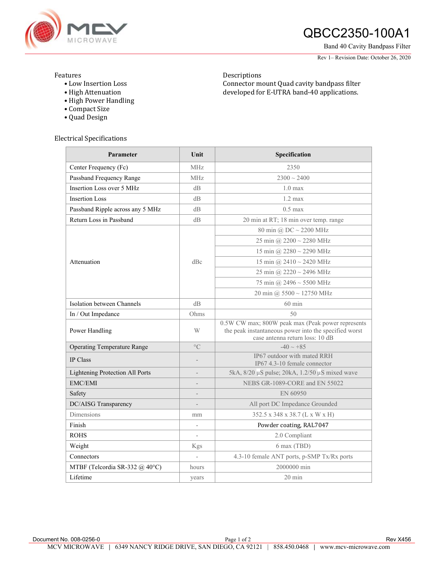

# **ANGROWAVE QBCC2350-100A1**

Band 40 Cavity Bandpass Filter

Rev 1– Revision Date: October 26, 2020

### Features

• Low Insertion Loss • High Attenuation

Descriptions Connector mount Quad cavity bandpass filter developed for E-UTRA band-40 applications.

• Compact Size • Quad Design

• High Power Handling

### Electrical Specifications

| Parameter                          | Unit                     | Specification                                                                                                                                 |
|------------------------------------|--------------------------|-----------------------------------------------------------------------------------------------------------------------------------------------|
| Center Frequency (Fc)              | <b>MHz</b>               | 2350                                                                                                                                          |
| Passband Frequency Range           | <b>MHz</b>               | $2300 \sim 2400$                                                                                                                              |
| Insertion Loss over 5 MHz          | $\rm dB$                 | $1.0 \text{ max}$                                                                                                                             |
| <b>Insertion Loss</b>              | dB                       | $1.2 \text{ max}$                                                                                                                             |
| Passband Ripple across any 5 MHz   | dB                       | $0.5$ max                                                                                                                                     |
| Return Loss in Passband            | dB                       | 20 min at RT; 18 min over temp. range                                                                                                         |
| Attenuation                        | dBc                      | 80 min @ $DC \sim 2200$ MHz                                                                                                                   |
|                                    |                          | 25 min @ 2200 ~ 2280 MHz                                                                                                                      |
|                                    |                          | 15 min @ $2280 \sim 2290$ MHz                                                                                                                 |
|                                    |                          | 15 min @ $2410 \sim 2420$ MHz                                                                                                                 |
|                                    |                          | 25 min @ 2220 $\sim$ 2496 MHz                                                                                                                 |
|                                    |                          | 75 min @ 2496 $\sim$ 5500 MHz                                                                                                                 |
|                                    |                          | $20 \text{ min}$ @ 5500 $\sim$ 12750 MHz                                                                                                      |
| Isolation between Channels         | dB                       | $60 \text{ min}$                                                                                                                              |
| In / Out Impedance                 | Ohms                     | 50                                                                                                                                            |
| Power Handling                     | W                        | 0.5W CW max; 800W peak max (Peak power represents<br>the peak instantaneous power into the specified worst<br>case antenna return loss: 10 dB |
| <b>Operating Temperature Range</b> | $\circ$ C                | $-40 \sim +85$                                                                                                                                |
| IP Class                           |                          | IP67 outdoor with mated RRH<br>IP67 4.3-10 female connector                                                                                   |
| Lightening Protection All Ports    |                          | 5kA, $8/20 \mu S$ pulse; $20kA$ , $1.2/50 \mu S$ mixed wave                                                                                   |
| <b>EMC/EMI</b>                     |                          | NEBS GR-1089-CORE and EN 55022                                                                                                                |
| Safety                             |                          | EN 60950                                                                                                                                      |
| DC/AISG Transparency               | $\qquad \qquad -$        | All port DC Impedance Grounded                                                                                                                |
| Dimensions                         | mm                       | 352.5 x 348 x 38.7 (L x W x H)                                                                                                                |
| Finish                             |                          | Powder coating, RAL7047                                                                                                                       |
| <b>ROHS</b>                        | $\overline{\phantom{a}}$ | 2.0 Compliant                                                                                                                                 |
| Weight                             | Kgs                      | 6 max (TBD)                                                                                                                                   |
| Connectors                         |                          | 4.3-10 female ANT ports, p-SMP Tx/Rx ports                                                                                                    |
| MTBF (Telcordia SR-332 @ 40°C)     | hours                    | 2000000 min                                                                                                                                   |
| Lifetime                           | years                    | $20 \text{ min}$                                                                                                                              |